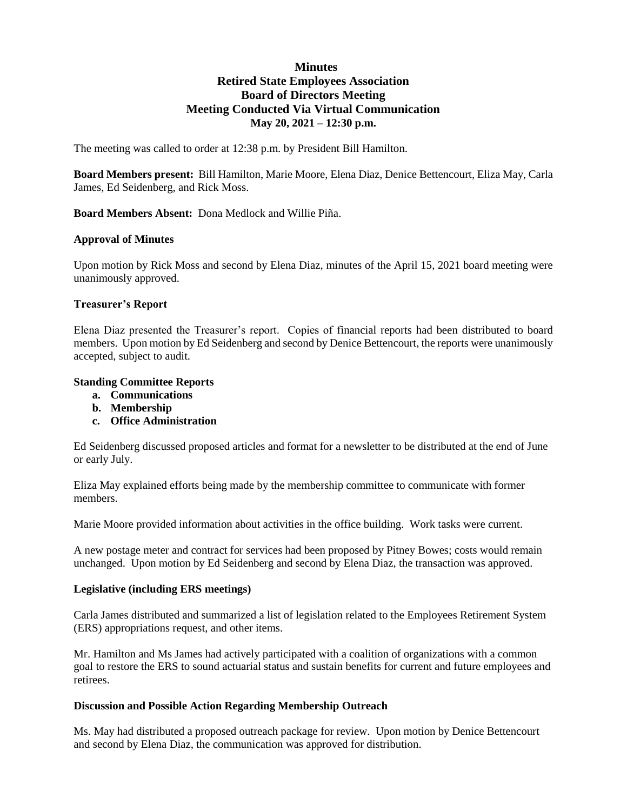# **Minutes Retired State Employees Association Board of Directors Meeting Meeting Conducted Via Virtual Communication May 20, 2021 – 12:30 p.m.**

The meeting was called to order at 12:38 p.m. by President Bill Hamilton.

**Board Members present:** Bill Hamilton, Marie Moore, Elena Diaz, Denice Bettencourt, Eliza May, Carla James, Ed Seidenberg, and Rick Moss.

**Board Members Absent:** Dona Medlock and Willie Piña.

#### **Approval of Minutes**

Upon motion by Rick Moss and second by Elena Diaz, minutes of the April 15, 2021 board meeting were unanimously approved.

#### **Treasurer's Report**

Elena Diaz presented the Treasurer's report. Copies of financial reports had been distributed to board members. Upon motion by Ed Seidenberg and second by Denice Bettencourt, the reports were unanimously accepted, subject to audit.

#### **Standing Committee Reports**

- **a. Communications**
- **b. Membership**
- **c. Office Administration**

Ed Seidenberg discussed proposed articles and format for a newsletter to be distributed at the end of June or early July.

Eliza May explained efforts being made by the membership committee to communicate with former members.

Marie Moore provided information about activities in the office building. Work tasks were current.

A new postage meter and contract for services had been proposed by Pitney Bowes; costs would remain unchanged. Upon motion by Ed Seidenberg and second by Elena Diaz, the transaction was approved.

#### **Legislative (including ERS meetings)**

Carla James distributed and summarized a list of legislation related to the Employees Retirement System (ERS) appropriations request, and other items.

Mr. Hamilton and Ms James had actively participated with a coalition of organizations with a common goal to restore the ERS to sound actuarial status and sustain benefits for current and future employees and retirees.

#### **Discussion and Possible Action Regarding Membership Outreach**

Ms. May had distributed a proposed outreach package for review. Upon motion by Denice Bettencourt and second by Elena Diaz, the communication was approved for distribution.